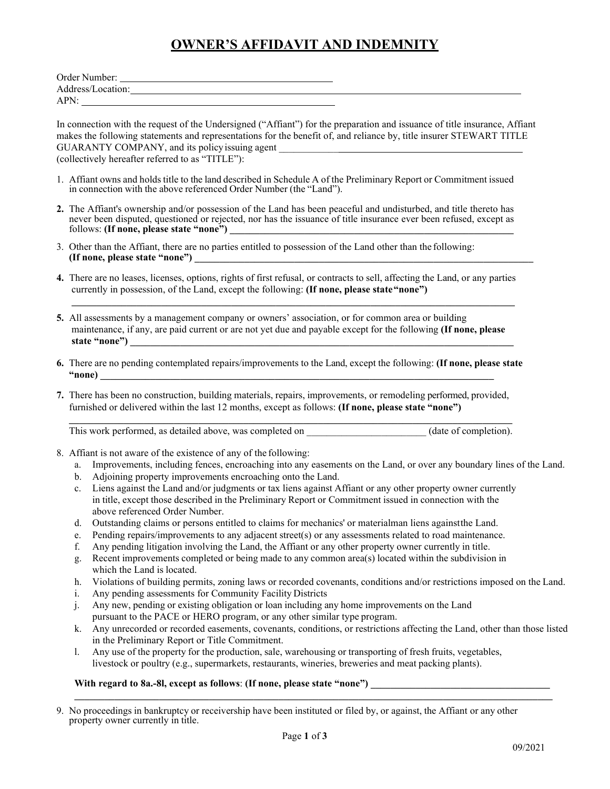## **OWNER'S AFFIDAVIT AND INDEMNITY**

| Order Number:     |  |
|-------------------|--|
| Address/Location: |  |
| APN:              |  |

In connection with the request of the Undersigned ("Affiant") for the preparation and issuance of title insurance, Affiant makes the following statements and representations for the benefit of, and reliance by, title insurer STEWART TITLE GUARANTY COMPANY, and its policy issuing agent (collectively hereafter referred to as "TITLE"):

- 1. Affiant owns and holds title to the land described in Schedule A of the Preliminary Report or Commitment issued in connection with the above referenced Order Number (the "Land").
- **2.** The Affiant's ownership and/or possession of the Land has been peaceful and undisturbed, and title thereto has never been disputed, questioned or rejected, nor has the issuance of title insurance ever been refused, except as follows: **(If none, please state "none")**
- 3. Other than the Affiant, there are no parties entitled to possession of the Land other than the following: **(If none, please state "none") \_\_\_\_\_\_\_\_\_\_\_\_\_\_\_\_\_\_\_\_\_\_\_\_\_\_\_\_\_\_\_\_\_\_\_\_\_\_\_\_\_\_\_\_\_\_\_\_\_\_\_\_\_\_\_\_\_\_\_\_\_\_\_\_\_\_\_\_**
- **4.** There are no leases, licenses, options, rights of first refusal, or contracts to sell, affecting the Land, or any parties currently in possession, of the Land, except the following: **(If none, please state"none")**

**\_\_\_\_\_\_\_\_\_\_\_\_\_\_\_\_\_\_\_\_\_\_\_\_\_\_\_\_\_\_\_\_\_\_\_\_\_\_\_\_\_\_\_\_\_\_\_\_\_\_\_\_\_\_\_\_\_\_\_\_\_\_\_\_\_\_\_\_\_\_\_\_\_\_\_\_\_\_\_\_\_\_\_\_\_\_\_\_\_**

- **5.** All assessments by a management company or owners' association, or for common area or building maintenance, if any, are paid current or are not yet due and payable except for the following **(If none, please**  state "none")
- **6.** There are no pending contemplated repairs/improvements to the Land, except the following: **(If none, please state "none) \_\_\_\_\_\_\_\_\_\_\_\_\_\_\_\_\_\_\_\_\_\_\_\_\_\_\_\_\_\_\_\_\_\_\_\_\_\_\_\_\_\_\_\_\_\_\_\_\_\_\_\_\_\_\_\_\_\_\_\_\_\_\_\_\_\_\_\_\_\_\_\_\_\_\_\_\_\_\_**
- **7.** There has been no construction, building materials, repairs, improvements, or remodeling performed, provided, furnished or delivered within the last 12 months, except as follows: **(If none, please state "none")**

**\_\_\_\_\_\_\_\_\_\_\_\_\_\_\_\_\_\_\_\_\_\_\_\_\_\_\_\_\_\_\_\_\_\_\_\_\_\_\_\_\_\_\_\_\_\_\_\_\_\_\_\_\_\_\_\_\_\_\_\_\_\_\_\_\_\_\_\_\_\_\_\_\_\_\_\_\_\_\_\_\_\_\_\_\_\_\_\_\_** This work performed, as detailed above, was completed on \_\_\_\_\_\_\_\_\_\_\_\_\_\_\_\_\_\_\_\_\_\_\_ (date of completion).

- 8. Affiant is not aware of the existence of any of the following:
	- a. Improvements, including fences, encroaching into any easements on the Land, or over any boundary lines of the Land.
	- b. Adjoining property improvements encroaching onto the Land.
	- c. Liens against the Land and/or judgments or tax liens against Affiant or any other property owner currently in title, except those described in the Preliminary Report or Commitment issued in connection with the above referenced Order Number.
	- d. Outstanding claims or persons entitled to claims for mechanics' or materialman liens againstthe Land.
	- e. Pending repairs/improvements to any adjacent street(s) or any assessments related to road maintenance.
	- f. Any pending litigation involving the Land, the Affiant or any other property owner currently in title.
	- g. Recent improvements completed or being made to any common area(s) located within the subdivision in which the Land is located.
	- h. Violations of building permits, zoning laws or recorded covenants, conditions and/or restrictions imposed on the Land.
	- i. Any pending assessments for Community Facility Districts
	- j. Any new, pending or existing obligation or loan including any home improvements on the Land pursuant to the PACE or HERO program, or any other similar type program.
	- k. Any unrecorded or recorded easements, covenants, conditions, or restrictions affecting the Land, other than those listed in the Preliminary Report or Title Commitment.
	- l. Any use of the property for the production, sale, warehousing or transporting of fresh fruits, vegetables, livestock or poultry (e.g., supermarkets, restaurants, wineries, breweries and meat packing plants).

## With regard to 8a.-8l, except as follows: (If none, please state "none")

9. No proceedings in bankruptcy or receivership have been instituted or filed by, or against, the Affiant or any other property owner currently in title.

**\_\_\_\_\_\_\_\_\_\_\_\_\_\_\_\_\_\_\_\_\_\_\_\_\_\_\_\_\_\_\_\_\_\_\_\_\_\_\_\_\_\_\_\_\_\_\_\_\_\_\_\_\_\_\_\_\_\_\_\_\_\_\_\_\_\_\_\_\_\_\_\_\_\_\_\_\_\_\_\_\_\_\_\_\_\_\_\_\_\_\_\_\_\_\_\_**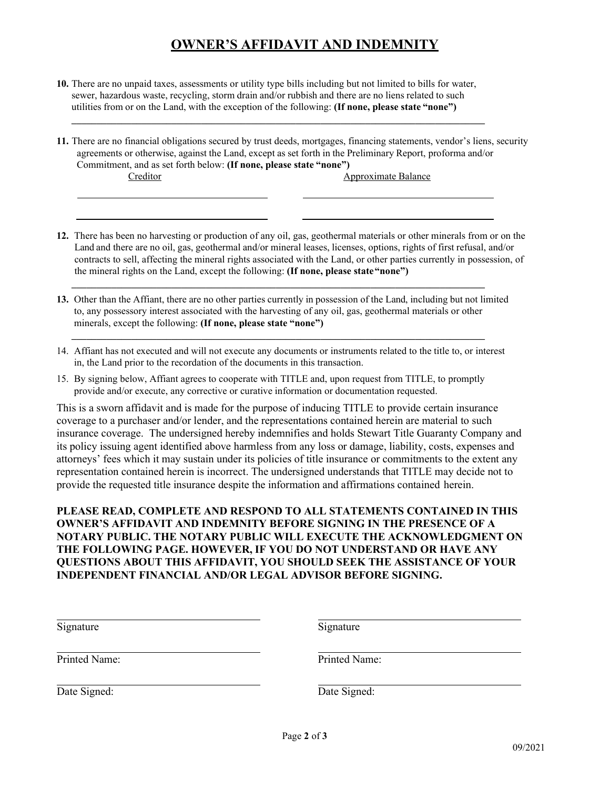## **OWNER'S AFFIDAVIT AND INDEMNITY**

**10.** There are no unpaid taxes, assessments or utility type bills including but not limited to bills for water, sewer, hazardous waste, recycling, storm drain and/or rubbish and there are no liens related to such utilities from or on the Land, with the exception of the following: **(If none, please state "none")**

**\_\_\_\_\_\_\_\_\_\_\_\_\_\_\_\_\_\_\_\_\_\_\_\_\_\_\_\_\_\_\_\_\_\_\_\_\_\_\_\_\_\_\_\_\_\_\_\_\_\_\_\_\_\_\_\_\_\_\_\_\_\_\_\_\_\_\_\_\_\_\_\_\_\_\_\_\_\_\_\_\_\_\_**

- **11.** There are no financial obligations secured by trust deeds, mortgages, financing statements, vendor's liens, security agreements or otherwise, against the Land, except as set forth in the Preliminary Report, proforma and/or Commitment, and as set forth below: **(If none, please state "none")** Creditor Approximate Balance
- **12.** There has been no harvesting or production of any oil, gas, geothermal materials or other minerals from or on the Land and there are no oil, gas, geothermal and/or mineral leases, licenses, options, rights of first refusal, and/or contracts to sell, affecting the mineral rights associated with the Land, or other parties currently in possession, of the mineral rights on the Land, except the following: **(If none, please state"none")**
- **13.** Other than the Affiant, there are no other parties currently in possession of the Land, including but not limited to, any possessory interest associated with the harvesting of any oil, gas, geothermal materials or other minerals, except the following: **(If none, please state "none")**

**\_\_\_\_\_\_\_\_\_\_\_\_\_\_\_\_\_\_\_\_\_\_\_\_\_\_\_\_\_\_\_\_\_\_\_\_\_\_\_\_\_\_\_\_\_\_\_\_\_\_\_\_\_\_\_\_\_\_\_\_\_\_\_\_\_\_\_\_\_\_\_\_\_\_\_\_\_\_\_\_\_\_\_**

14. Affiant has not executed and will not execute any documents or instruments related to the title to, or interest in, the Land prior to the recordation of the documents in this transaction.

**\_\_\_\_\_\_\_\_\_\_\_\_\_\_\_\_\_\_\_\_\_\_\_\_\_\_\_\_\_\_\_\_\_\_\_\_\_\_\_\_\_\_\_\_\_\_\_\_\_\_\_\_\_\_\_\_\_\_\_\_\_\_\_\_\_\_\_\_\_\_\_\_\_\_\_\_\_\_\_\_\_\_\_**

15. By signing below, Affiant agrees to cooperate with TITLE and, upon request from TITLE, to promptly provide and/or execute, any corrective or curative information or documentation requested.

This is a sworn affidavit and is made for the purpose of inducing TITLE to provide certain insurance coverage to a purchaser and/or lender, and the representations contained herein are material to such insurance coverage. The undersigned hereby indemnifies and holds Stewart Title Guaranty Company and its policy issuing agent identified above harmless from any loss or damage, liability, costs, expenses and attorneys' fees which it may sustain under its policies of title insurance or commitments to the extent any representation contained herein is incorrect. The undersigned understands that TITLE may decide not to provide the requested title insurance despite the information and affirmations contained herein.

**PLEASE READ, COMPLETE AND RESPOND TO ALL STATEMENTS CONTAINED IN THIS OWNER'S AFFIDAVIT AND INDEMNITY BEFORE SIGNING IN THE PRESENCE OF A NOTARY PUBLIC. THE NOTARY PUBLIC WILL EXECUTE THE ACKNOWLEDGMENT ON THE FOLLOWING PAGE. HOWEVER, IF YOU DO NOT UNDERSTAND OR HAVE ANY QUESTIONS ABOUT THIS AFFIDAVIT, YOU SHOULD SEEK THE ASSISTANCE OF YOUR INDEPENDENT FINANCIAL AND/OR LEGAL ADVISOR BEFORE SIGNING.**

| Signature     | Signature     |
|---------------|---------------|
| Printed Name: | Printed Name: |
| Date Signed:  | Date Signed:  |